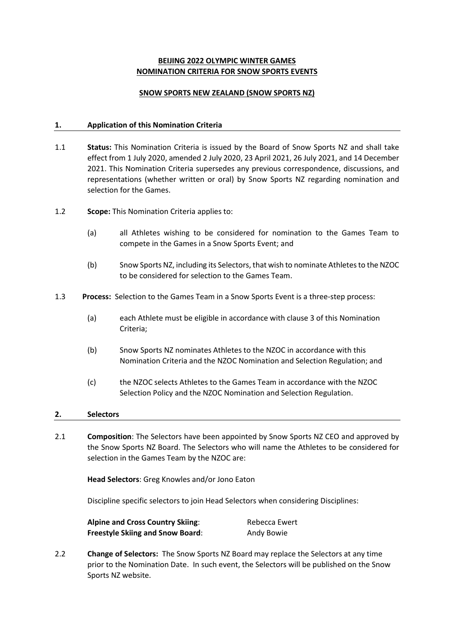# **BEIJING 2022 OLYMPIC WINTER GAMES NOMINATION CRITERIA FOR SNOW SPORTS EVENTS**

### **SNOW SPORTS NEW ZEALAND (SNOW SPORTS NZ)**

### **1. Application of this Nomination Criteria**

- 1.1 **Status:** This Nomination Criteria is issued by the Board of Snow Sports NZ and shall take effect from 1 July 2020, amended 2 July 2020, 23 April 2021, 26 July 2021, and 14 December 2021. This Nomination Criteria supersedes any previous correspondence, discussions, and representations (whether written or oral) by Snow Sports NZ regarding nomination and selection for the Games.
- 1.2 **Scope:** This Nomination Criteria applies to:
	- (a) all Athletes wishing to be considered for nomination to the Games Team to compete in the Games in a Snow Sports Event; and
	- (b) Snow Sports NZ, including its Selectors, that wish to nominate Athletes to the NZOC to be considered for selection to the Games Team.
- 1.3 **Process:** Selection to the Games Team in a Snow Sports Event is a three-step process:
	- (a) each Athlete must be eligible in accordance with clause 3 of this Nomination Criteria;
	- (b) Snow Sports NZ nominates Athletes to the NZOC in accordance with this Nomination Criteria and the NZOC Nomination and Selection Regulation; and
	- (c) the NZOC selects Athletes to the Games Team in accordance with the NZOC Selection Policy and the NZOC Nomination and Selection Regulation.

### **2. Selectors**

2.1 **Composition**: The Selectors have been appointed by Snow Sports NZ CEO and approved by the Snow Sports NZ Board. The Selectors who will name the Athletes to be considered for selection in the Games Team by the NZOC are:

**Head Selectors**: Greg Knowles and/or Jono Eaton

Discipline specific selectors to join Head Selectors when considering Disciplines:

| <b>Alpine and Cross Country Skiing:</b> | Rebecca Ewert |
|-----------------------------------------|---------------|
| <b>Freestyle Skiing and Snow Board:</b> | Andy Bowie    |

2.2 **Change of Selectors:** The Snow Sports NZ Board may replace the Selectors at any time prior to the Nomination Date. In such event, the Selectors will be published on the Snow Sports NZ website.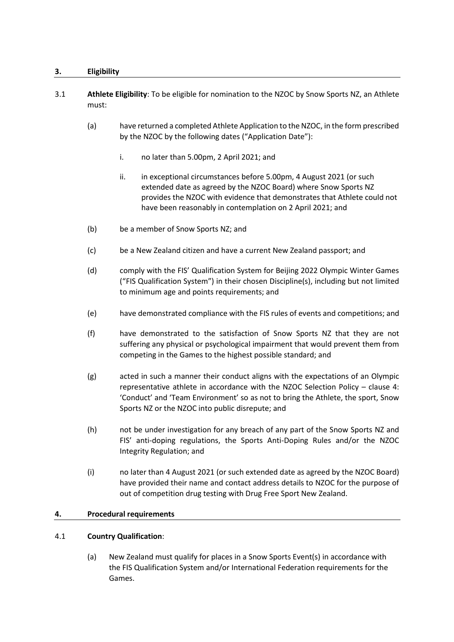## **3. Eligibility**

- 3.1 **Athlete Eligibility**: To be eligible for nomination to the NZOC by Snow Sports NZ, an Athlete must:
	- (a) have returned a completed Athlete Application to the NZOC, in the form prescribed by the NZOC by the following dates ("Application Date"):
		- i. no later than 5.00pm, 2 April 2021; and
		- ii. in exceptional circumstances before 5.00pm, 4 August 2021 (or such extended date as agreed by the NZOC Board) where Snow Sports NZ provides the NZOC with evidence that demonstrates that Athlete could not have been reasonably in contemplation on 2 April 2021; and
	- (b) be a member of Snow Sports NZ; and
	- (c) be a New Zealand citizen and have a current New Zealand passport; and
	- (d) comply with the FIS' Qualification System for Beijing 2022 Olympic Winter Games ("FIS Qualification System") in their chosen Discipline(s), including but not limited to minimum age and points requirements; and
	- (e) have demonstrated compliance with the FIS rules of events and competitions; and
	- (f) have demonstrated to the satisfaction of Snow Sports NZ that they are not suffering any physical or psychological impairment that would prevent them from competing in the Games to the highest possible standard; and
	- (g) acted in such a manner their conduct aligns with the expectations of an Olympic representative athlete in accordance with the NZOC Selection Policy – clause 4: 'Conduct' and 'Team Environment' so as not to bring the Athlete, the sport, Snow Sports NZ or the NZOC into public disrepute; and
	- (h) not be under investigation for any breach of any part of the Snow Sports NZ and FIS' anti-doping regulations, the Sports Anti-Doping Rules and/or the NZOC Integrity Regulation; and
	- (i) no later than 4 August 2021 (or such extended date as agreed by the NZOC Board) have provided their name and contact address details to NZOC for the purpose of out of competition drug testing with Drug Free Sport New Zealand.

### **4. Procedural requirements**

### 4.1 **Country Qualification**:

(a) New Zealand must qualify for places in a Snow Sports Event(s) in accordance with the FIS Qualification System and/or International Federation requirements for the Games.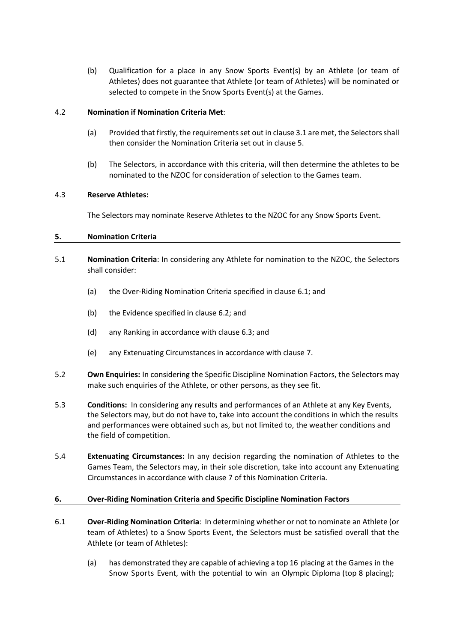(b) Qualification for a place in any Snow Sports Event(s) by an Athlete (or team of Athletes) does not guarantee that Athlete (or team of Athletes) will be nominated or selected to compete in the Snow Sports Event(s) at the Games.

## 4.2 **Nomination if Nomination Criteria Met**:

- (a) Provided that firstly, the requirements set out in clause 3.1 are met, the Selectors shall then consider the Nomination Criteria set out in clause 5.
- (b) The Selectors, in accordance with this criteria, will then determine the athletes to be nominated to the NZOC for consideration of selection to the Games team.

### 4.3 **Reserve Athletes:**

The Selectors may nominate Reserve Athletes to the NZOC for any Snow Sports Event.

## **5. Nomination Criteria**

- 5.1 **Nomination Criteria**: In considering any Athlete for nomination to the NZOC, the Selectors shall consider:
	- (a) the Over-Riding Nomination Criteria specified in clause 6.1; and
	- (b) the Evidence specified in clause 6.2; and
	- (d) any Ranking in accordance with clause 6.3; and
	- (e) any Extenuating Circumstances in accordance with clause 7.
- 5.2 **Own Enquiries:** In considering the Specific Discipline Nomination Factors, the Selectors may make such enquiries of the Athlete, or other persons, as they see fit.
- 5.3 **Conditions:** In considering any results and performances of an Athlete at any Key Events, the Selectors may, but do not have to, take into account the conditions in which the results and performances were obtained such as, but not limited to, the weather conditions and the field of competition.
- 5.4 **Extenuating Circumstances:** In any decision regarding the nomination of Athletes to the Games Team, the Selectors may, in their sole discretion, take into account any Extenuating Circumstances in accordance with clause 7 of this Nomination Criteria.

### **6. Over-Riding Nomination Criteria and Specific Discipline Nomination Factors**

- 6.1 **Over-Riding Nomination Criteria**: In determining whether or not to nominate an Athlete (or team of Athletes) to a Snow Sports Event, the Selectors must be satisfied overall that the Athlete (or team of Athletes):
	- (a) has demonstrated they are capable of achieving a top 16 placing at the Games in the Snow Sports Event, with the potential to win an Olympic Diploma (top 8 placing);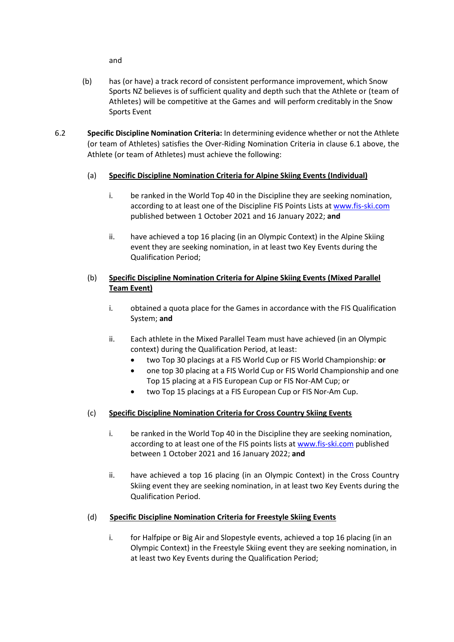and

- (b) has (or have) a track record of consistent performance improvement, which Snow Sports NZ believes is of sufficient quality and depth such that the Athlete or (team of Athletes) will be competitive at the Games and will perform creditably in the Snow Sports Event
- 6.2 **Specific Discipline Nomination Criteria:** In determining evidence whether or not the Athlete (or team of Athletes) satisfies the Over-Riding Nomination Criteria in clause 6.1 above, the Athlete (or team of Athletes) must achieve the following:
	- (a) **Specific Discipline Nomination Criteria for Alpine Skiing Events (Individual)**
		- i. be ranked in the World Top 40 in the Discipline they are seeking nomination, according to at least one of the Discipline FIS Points Lists at www.fis-ski.com published between 1 October 2021 and 16 January 2022; **and**
		- ii. have achieved a top 16 placing (in an Olympic Context) in the Alpine Skiing event they are seeking nomination, in at least two Key Events during the Qualification Period;

# (b) **Specific Discipline Nomination Criteria for Alpine Skiing Events (Mixed Parallel Team Event)**

- i. obtained a quota place for the Games in accordance with the FIS Qualification System; **and**
- ii. Each athlete in the Mixed Parallel Team must have achieved (in an Olympic context) during the Qualification Period, at least:
	- two Top 30 placings at a FIS World Cup or FIS World Championship: **or**
	- one top 30 placing at a FIS World Cup or FIS World Championship and one Top 15 placing at a FIS European Cup or FIS Nor-AM Cup; or
	- two Top 15 placings at a FIS European Cup or FIS Nor-Am Cup.

# (c) **Specific Discipline Nomination Criteria for Cross Country Skiing Events**

- i. be ranked in the World Top 40 in the Discipline they are seeking nomination, according to at least one of the FIS points lists at www.fis-ski.com published between 1 October 2021 and 16 January 2022; **and**
- ii. have achieved a top 16 placing (in an Olympic Context) in the Cross Country Skiing event they are seeking nomination, in at least two Key Events during the Qualification Period.

# (d) **Specific Discipline Nomination Criteria for Freestyle Skiing Events**

i. for Halfpipe or Big Air and Slopestyle events, achieved a top 16 placing (in an Olympic Context) in the Freestyle Skiing event they are seeking nomination, in at least two Key Events during the Qualification Period;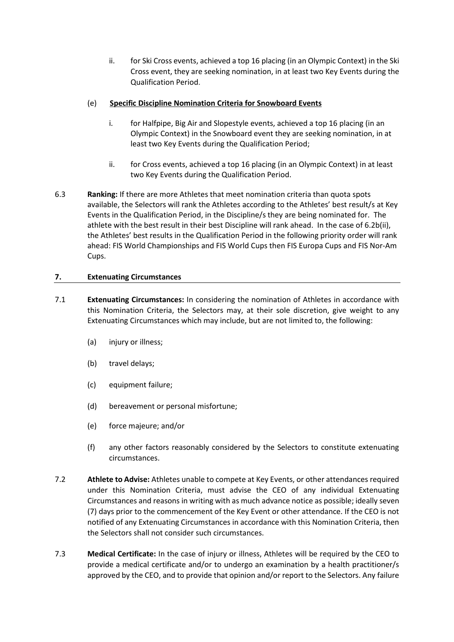ii. for Ski Cross events, achieved a top 16 placing (in an Olympic Context) in the Ski Cross event, they are seeking nomination, in at least two Key Events during the Qualification Period.

### (e) **Specific Discipline Nomination Criteria for Snowboard Events**

- i. for Halfpipe, Big Air and Slopestyle events, achieved a top 16 placing (in an Olympic Context) in the Snowboard event they are seeking nomination, in at least two Key Events during the Qualification Period;
- ii. for Cross events, achieved a top 16 placing (in an Olympic Context) in at least two Key Events during the Qualification Period.
- 6.3 **Ranking:** If there are more Athletes that meet nomination criteria than quota spots available, the Selectors will rank the Athletes according to the Athletes' best result/s at Key Events in the Qualification Period, in the Discipline/s they are being nominated for. The athlete with the best result in their best Discipline will rank ahead. In the case of 6.2b(ii), the Athletes' best results in the Qualification Period in the following priority order will rank ahead: FIS World Championships and FIS World Cups then FIS Europa Cups and FIS Nor-Am Cups.

## **7. Extenuating Circumstances**

- 7.1 **Extenuating Circumstances:** In considering the nomination of Athletes in accordance with this Nomination Criteria, the Selectors may, at their sole discretion, give weight to any Extenuating Circumstances which may include, but are not limited to, the following:
	- (a) injury or illness;
	- (b) travel delays;
	- (c) equipment failure;
	- (d) bereavement or personal misfortune;
	- (e) force majeure; and/or
	- (f) any other factors reasonably considered by the Selectors to constitute extenuating circumstances.
- 7.2 **Athlete to Advise:** Athletes unable to compete at Key Events, or other attendances required under this Nomination Criteria, must advise the CEO of any individual Extenuating Circumstances and reasons in writing with as much advance notice as possible; ideally seven (7) days prior to the commencement of the Key Event or other attendance. If the CEO is not notified of any Extenuating Circumstances in accordance with this Nomination Criteria, then the Selectors shall not consider such circumstances.
- 7.3 **Medical Certificate:** In the case of injury or illness, Athletes will be required by the CEO to provide a medical certificate and/or to undergo an examination by a health practitioner/s approved by the CEO, and to provide that opinion and/or report to the Selectors. Any failure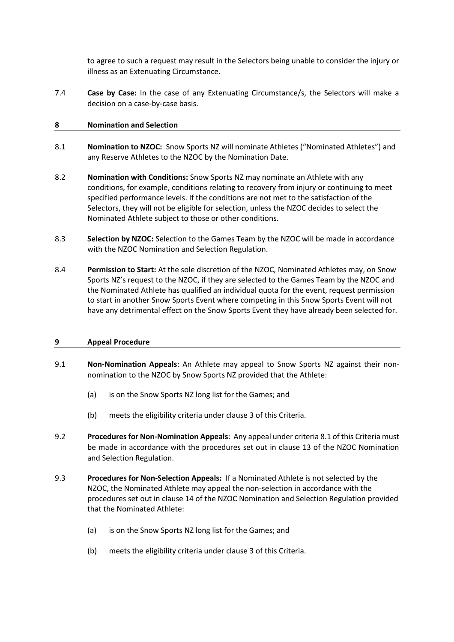to agree to such a request may result in the Selectors being unable to consider the injury or illness as an Extenuating Circumstance.

7.4 **Case by Case:** In the case of any Extenuating Circumstance/s, the Selectors will make a decision on a case-by-case basis.

### **8 Nomination and Selection**

- 8.1 **Nomination to NZOC:** Snow Sports NZ will nominate Athletes ("Nominated Athletes") and any Reserve Athletes to the NZOC by the Nomination Date.
- 8.2 **Nomination with Conditions:** Snow Sports NZ may nominate an Athlete with any conditions, for example, conditions relating to recovery from injury or continuing to meet specified performance levels. If the conditions are not met to the satisfaction of the Selectors, they will not be eligible for selection, unless the NZOC decides to select the Nominated Athlete subject to those or other conditions.
- 8.3 **Selection by NZOC:** Selection to the Games Team by the NZOC will be made in accordance with the NZOC Nomination and Selection Regulation.
- 8.4 **Permission to Start:** At the sole discretion of the NZOC, Nominated Athletes may, on Snow Sports NZ's request to the NZOC, if they are selected to the Games Team by the NZOC and the Nominated Athlete has qualified an individual quota for the event, request permission to start in another Snow Sports Event where competing in this Snow Sports Event will not have any detrimental effect on the Snow Sports Event they have already been selected for.

#### **9 Appeal Procedure**

- 9.1 **Non-Nomination Appeals**: An Athlete may appeal to Snow Sports NZ against their nonnomination to the NZOC by Snow Sports NZ provided that the Athlete:
	- (a) is on the Snow Sports NZ long list for the Games; and
	- (b) meets the eligibility criteria under clause 3 of this Criteria.
- 9.2 **Procedures for Non-Nomination Appeals**: Any appeal under criteria 8.1 of this Criteria must be made in accordance with the procedures set out in clause 13 of the NZOC Nomination and Selection Regulation.
- 9.3 **Procedures for Non-Selection Appeals:** If a Nominated Athlete is not selected by the NZOC, the Nominated Athlete may appeal the non-selection in accordance with the procedures set out in clause 14 of the NZOC Nomination and Selection Regulation provided that the Nominated Athlete:
	- (a) is on the Snow Sports NZ long list for the Games; and
	- (b) meets the eligibility criteria under clause 3 of this Criteria.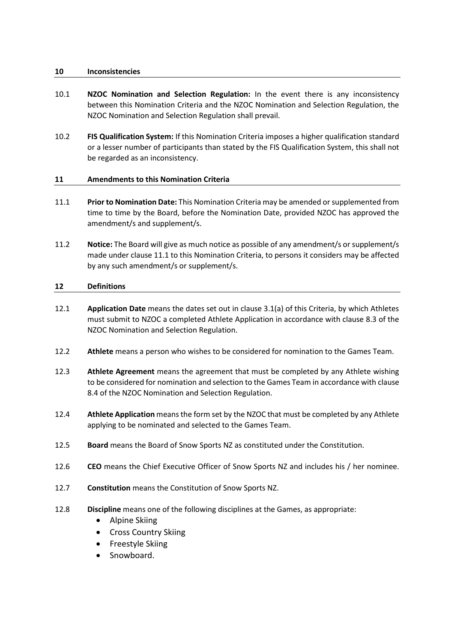#### **10 Inconsistencies**

- 10.1 **NZOC Nomination and Selection Regulation:** In the event there is any inconsistency between this Nomination Criteria and the NZOC Nomination and Selection Regulation, the NZOC Nomination and Selection Regulation shall prevail.
- 10.2 **FIS Qualification System:** If this Nomination Criteria imposes a higher qualification standard or a lesser number of participants than stated by the FIS Qualification System, this shall not be regarded as an inconsistency.

### **11 Amendments to this Nomination Criteria**

- 11.1 **Prior to Nomination Date:** This Nomination Criteria may be amended or supplemented from time to time by the Board, before the Nomination Date, provided NZOC has approved the amendment/s and supplement/s.
- 11.2 **Notice:** The Board will give as much notice as possible of any amendment/s or supplement/s made under clause 11.1 to this Nomination Criteria, to persons it considers may be affected by any such amendment/s or supplement/s.

### **12 Definitions**

- 12.1 **Application Date** means the dates set out in clause 3.1(a) of this Criteria, by which Athletes must submit to NZOC a completed Athlete Application in accordance with clause 8.3 of the NZOC Nomination and Selection Regulation.
- 12.2 **Athlete** means a person who wishes to be considered for nomination to the Games Team.
- 12.3 **Athlete Agreement** means the agreement that must be completed by any Athlete wishing to be considered for nomination and selection to the Games Team in accordance with clause 8.4 of the NZOC Nomination and Selection Regulation.
- 12.4 **Athlete Application** means the form set by the NZOC that must be completed by any Athlete applying to be nominated and selected to the Games Team.
- 12.5 **Board** means the Board of Snow Sports NZ as constituted under the Constitution.
- 12.6 **CEO** means the Chief Executive Officer of Snow Sports NZ and includes his / her nominee.
- 12.7 **Constitution** means the Constitution of Snow Sports NZ.
- 12.8 **Discipline** means one of the following disciplines at the Games, as appropriate:
	- Alpine Skiing
	- Cross Country Skiing
	- Freestyle Skiing
	- Snowboard.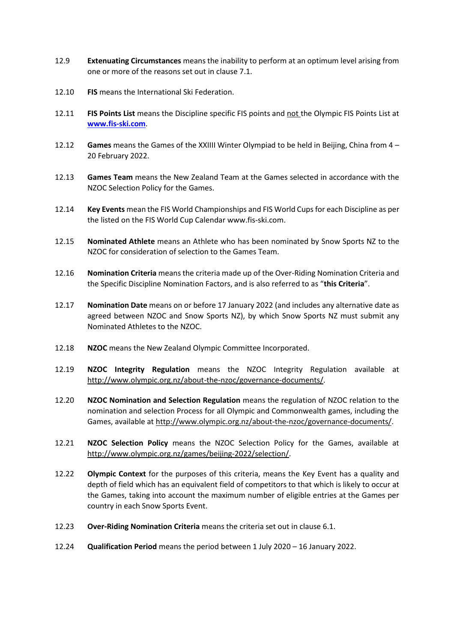- 12.9 **Extenuating Circumstances** means the inability to perform at an optimum level arising from one or more of the reasons set out in clause 7.1.
- 12.10 **FIS** means the International Ski Federation.
- 12.11 **FIS Points List** means the Discipline specific FIS points and not the Olympic FIS Points List at **www.fis-ski.com**.
- 12.12 **Games** means the Games of the XXIIII Winter Olympiad to be held in Beijing, China from 4 20 February 2022.
- 12.13 **Games Team** means the New Zealand Team at the Games selected in accordance with the NZOC Selection Policy for the Games.
- 12.14 **Key Events** mean the FIS World Championships and FIS World Cupsfor each Discipline as per the listed on the FIS World Cup Calendar www.fis-ski.com.
- 12.15 **Nominated Athlete** means an Athlete who has been nominated by Snow Sports NZ to the NZOC for consideration of selection to the Games Team.
- 12.16 **Nomination Criteria** means the criteria made up of the Over-Riding Nomination Criteria and the Specific Discipline Nomination Factors, and is also referred to as "**this Criteria**".
- 12.17 **Nomination Date** means on or before 17 January 2022 (and includes any alternative date as agreed between NZOC and Snow Sports NZ), by which Snow Sports NZ must submit any Nominated Athletes to the NZOC.
- 12.18 **NZOC** means the New Zealand Olympic Committee Incorporated.
- 12.19 **NZOC Integrity Regulation** means the NZOC Integrity Regulation available at http://www.olympic.org.nz/about-the-nzoc/governance-documents/.
- 12.20 **NZOC Nomination and Selection Regulation** means the regulation of NZOC relation to the nomination and selection Process for all Olympic and Commonwealth games, including the Games, available at http://www.olympic.org.nz/about-the-nzoc/governance-documents/.
- 12.21 **NZOC Selection Policy** means the NZOC Selection Policy for the Games, available at http://www.olympic.org.nz/games/beijing-2022/selection/.
- 12.22 **Olympic Context** for the purposes of this criteria, means the Key Event has a quality and depth of field which has an equivalent field of competitors to that which is likely to occur at the Games, taking into account the maximum number of eligible entries at the Games per country in each Snow Sports Event.
- 12.23 **Over-Riding Nomination Criteria** means the criteria set out in clause 6.1.
- 12.24 **Qualification Period** means the period between 1 July 2020 16 January 2022.